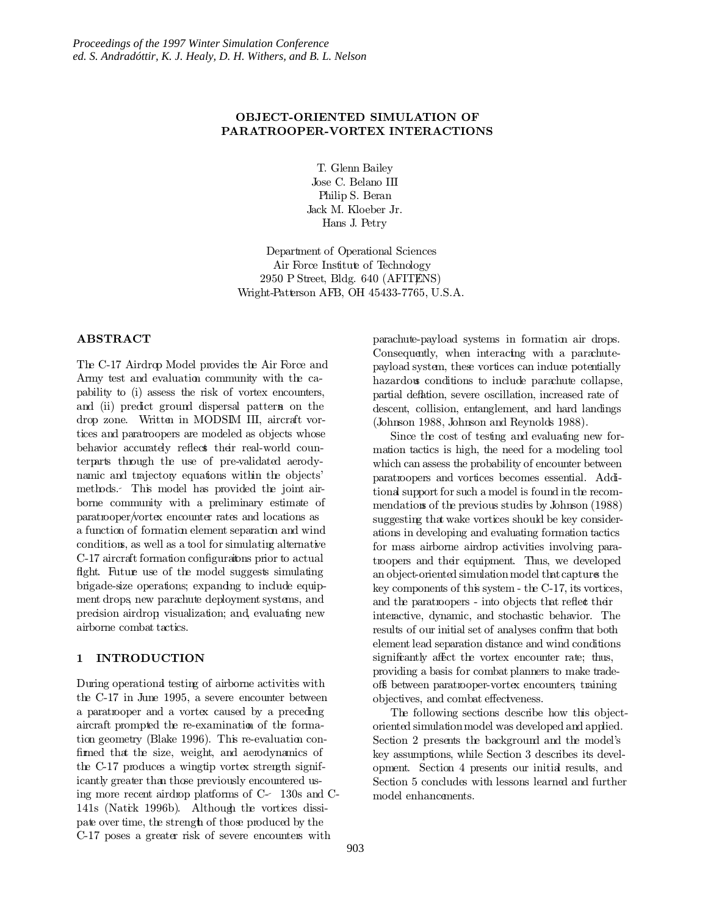# OBJECT-ORIENTED SIMULATION OF PARATROOPER-VORTEX INTERACTIONS

T. Glenn Bailey Jose C. Belano III Philip S. Beran Jack M. Kloeber Jr. Hans J. Petry

Department of Operational Sciences Air Force Institute of Technology 2950 P Street, Bldg. 640 (AFITENS) Wright-Patterson AFB, OH 45433-7765, U.S.A.

## ABSTRACT

The C-17 Airdrop Model provides the Air Force and Army test and evaluation community with the capability to (i) assess the risk of vortex encounters, and (ii) predict ground dispersal patterns on the drop zone. Written in MODSIM III, aircraft vortices and paratroopers are modeled as objects whose behavior accurately reflects their real-world counterparts through the use of pre-validated aerodynamic and trajectory equations within the objects' methods. This model has provided the joint airborne community with a preliminary estimate of paratrooper/vortex encounter rates and locations as a function of formation element separation and wind conditions, as well as a tool for simulating alternative C-17 aircraft formation configurations prior to actual flight. Future use of the model suggests simulating brigade-size operations; expanding to include equipment drops, new parachute deployment systems, and precision airdrop; visualization; and, evaluating new airborne combat tactics.

# 1 INTRODUCTION

During operational testing of airborne activities with the C-17 in June 1995, a severe encounter between a paratrooper and a vortex caused by a preceding aircraft prompted the re-examination of the formation geometry (Blake 1996). This re-evaluation confirmed that the size, weight, and aerodynamics of the C-17 produces a wingtip vortex strength significantly greater than those previously encountered using more recent airdrop platforms of C- 130s and C-141s (Natick 1996b). Although the vortices dissipate over time, the strength of those produced by the C-17 poses a greater risk of severe encounters with

parachute-payload systems in formation air drops. Consequently, when interacting with a parachutepayload system, these vortices can induce potentially hazardous conditions to include parachute collapse, partial deflation, severe oscillation, increased rate of descent, collision, entanglement, and hard landings (Johnson 1988, Johnson and Reynolds 1988).

Since the cost of testing and evaluating new formation tactics is high, the need for a modeling tool which can assess the probability of encounter between paratroopers and vortices becomes essential. Additional support for such a model is found in the recommendations of the previous studies by Johnson  $(1988)$ suggesting that wake vortices should be key considerations in developing and evaluating formation tactics for mass airborne airdrop activities involving paratroopers and their equipment. Thus, we developed an object-oriented simulationmodel thatcaptures the key components of this system - the C-17, its vortices, and the paratroopers - into objects that reflect their interactive, dynamic, and stochastic behavior. The results of our initial set of analyses confirm that both element lead separation distance and wind conditions significantly affect the vortex encounter rate; thus, providing a basis for combat planners to make tradeoffs between paratrooper-vortex encounters, training objectives, and combat effectiveness.

The following sections describe how this objectoriented simulationmodel was developed and applied. Section 2 presents the background and the model's key assumptions, while Section 3 describes its development. Section 4 presents our initial results, and Section 5 concludes with lessons learned and further model enhancements.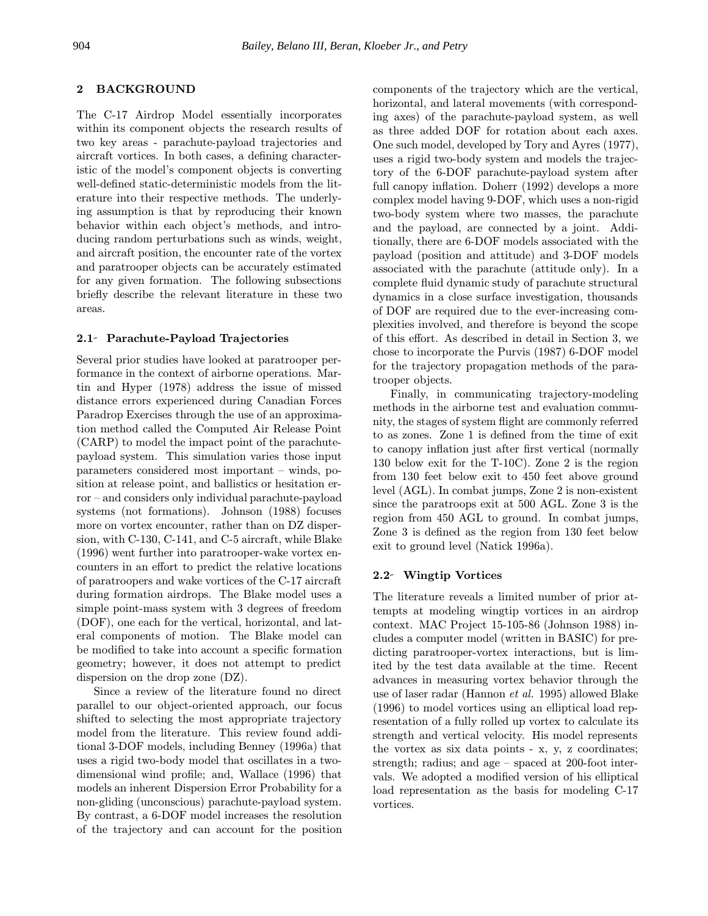# 2 BACKGROUND

The C-17 Airdrop Model essentially incorporates within its component objects the research results of two key areas - parachute-payload trajectories and aircraft vortices. In both cases, a defining characteristic of the model's component objects is converting well-defined static-deterministic models from the literature into their respective methods. The underlying assumption is that by reproducing their known behavior within each object's methods, and introducing random perturbations such as winds, weight, and aircraft position, the encounter rate of the vortex and paratrooper objects can be accurately estimated for any given formation. The following subsections briefly describe the relevant literature in these two areas.

### 2.1 Parachute-Payload Trajectories

Several prior studies have looked at paratrooper performance in the context of airborne operations. Martin and Hyper (1978) address the issue of missed distance errors experienced during Canadian Forces Paradrop Exercises through the use of an approximation method called the Computed Air Release Point (CARP) to model the impact point of the parachutepayload system. This simulation varies those input parameters considered most important – winds, position at release point, and ballistics or hesitation error – and considers only individual parachute-payload systems (not formations). Johnson (1988) focuses more on vortex encounter, rather than on DZ dispersion, with C-130, C-141, and C-5 aircraft, while Blake (1996) went further into paratrooper-wake vortex encounters in an effort to predict the relative locations of paratroopers and wake vortices of the C-17 aircraft during formation airdrops. The Blake model uses a simple point-mass system with 3 degrees of freedom (DOF), one each for the vertical, horizontal, and lateral components of motion. The Blake model can be modified to take into account a specific formation geometry; however, it does not attempt to predict dispersion on the drop zone (DZ).

Since a review of the literature found no direct parallel to our object-oriented approach, our focus shifted to selecting the most appropriate trajectory model from the literature. This review found additional 3-DOF models, including Benney (1996a) that uses a rigid two-body model that oscillates in a twodimensional wind profile; and, Wallace (1996) that models an inherent Dispersion Error Probability for a non-gliding (unconscious) parachute-payload system. By contrast, a 6-DOF model increases the resolution of the trajectory and can account for the position components of the trajectory which are the vertical, horizontal, and lateral movements (with corresponding axes) of the parachute-payload system, as well as three added DOF for rotation about each axes. One such model, developed by Tory and Ayres (1977), uses a rigid two-body system and models the trajectory of the 6-DOF parachute-payload system after full canopy inflation. Doherr (1992) develops a more complex model having 9-DOF, which uses a non-rigid two-body system where two masses, the parachute and the payload, are connected by a joint. Additionally, there are 6-DOF models associated with the payload (position and attitude) and 3-DOF models associated with the parachute (attitude only). In a complete fluid dynamic study of parachute structural dynamics in a close surface investigation, thousands of DOF are required due to the ever-increasing complexities involved, and therefore is beyond the scope of this effort. As described in detail in Section 3, we chose to incorporate the Purvis (1987) 6-DOF model for the trajectory propagation methods of the paratrooper objects.

Finally, in communicating trajectory-modeling methods in the airborne test and evaluation community, the stages of system flight are commonly referred to as zones. Zone 1 is defined from the time of exit to canopy inflation just after first vertical (normally 130 below exit for the T-10C). Zone 2 is the region from 130 feet below exit to 450 feet above ground level (AGL). In combat jumps, Zone 2 is non-existent since the paratroops exit at 500 AGL. Zone 3 is the region from 450 AGL to ground. In combat jumps, Zone 3 is defined as the region from 130 feet below exit to ground level (Natick 1996a).

### 2.2 Wingtip Vortices

The literature reveals a limited number of prior attempts at modeling wingtip vortices in an airdrop context. MAC Project 15-105-86 (Johnson 1988) includes a computer model (written in BASIC) for predicting paratrooper-vortex interactions, but is limited by the test data available at the time. Recent advances in measuring vortex behavior through the use of laser radar (Hannon et al. 1995) allowed Blake (1996) to model vortices using an elliptical load representation of a fully rolled up vortex to calculate its strength and vertical velocity. His model represents the vortex as six data points - x, y, z coordinates; strength; radius; and age – spaced at 200-foot intervals. We adopted a modified version of his elliptical load representation as the basis for modeling C-17 vortices.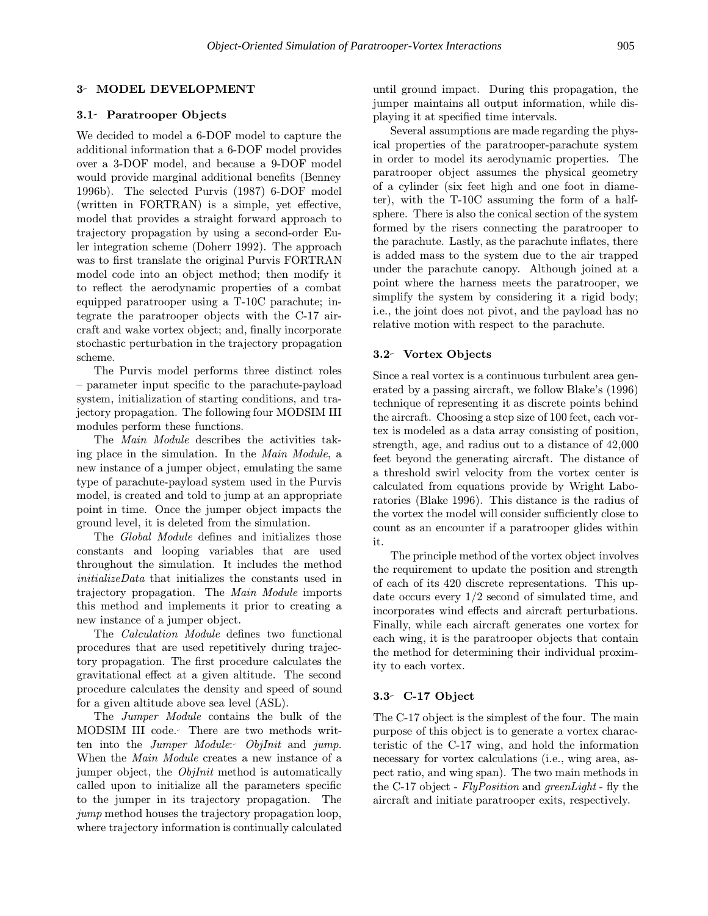## 3- MODEL DEVELOPMENT

## 3.1 Paratrooper Objects

We decided to model a 6-DOF model to capture the additional information that a 6-DOF model provides over a 3-DOF model, and because a 9-DOF model would provide marginal additional benefits (Benney 1996b). The selected Purvis (1987) 6-DOF model (written in FORTRAN) is a simple, yet effective, model that provides a straight forward approach to trajectory propagation by using a second-order Euler integration scheme (Doherr 1992). The approach was to first translate the original Purvis FORTRAN model code into an object method; then modify it to reflect the aerodynamic properties of a combat equipped paratrooper using a T-10C parachute; integrate the paratrooper objects with the C-17 aircraft and wake vortex object; and, finally incorporate stochastic perturbation in the trajectory propagation scheme.

The Purvis model performs three distinct roles – parameter input specific to the parachute-payload system, initialization of starting conditions, and trajectory propagation. The following four MODSIM III modules perform these functions.

The Main Module describes the activities taking place in the simulation. In the Main Module, a new instance of a jumper object, emulating the same type of parachute-payload system used in the Purvis model, is created and told to jump at an appropriate point in time. Once the jumper object impacts the ground level, it is deleted from the simulation.

The Global Module defines and initializes those constants and looping variables that are used throughout the simulation. It includes the method initializeData that initializes the constants used in trajectory propagation. The Main Module imports this method and implements it prior to creating a new instance of a jumper object.

The Calculation Module defines two functional procedures that are used repetitively during trajectory propagation. The first procedure calculates the gravitational effect at a given altitude. The second procedure calculates the density and speed of sound for a given altitude above sea level (ASL).

The Jumper Module contains the bulk of the MODSIM III code. There are two methods written into the Jumper Module: ObjInit and jump. When the Main Module creates a new instance of a jumper object, the *ObjInit* method is automatically called upon to initialize all the parameters specific to the jumper in its trajectory propagation. The jump method houses the trajectory propagation loop, where trajectory information is continually calculated

until ground impact. During this propagation, the jumper maintains all output information, while displaying it at specified time intervals.

Several assumptions are made regarding the physical properties of the paratrooper-parachute system in order to model its aerodynamic properties. The paratrooper object assumes the physical geometry of a cylinder (six feet high and one foot in diameter), with the T-10C assuming the form of a halfsphere. There is also the conical section of the system formed by the risers connecting the paratrooper to the parachute. Lastly, as the parachute inflates, there is added mass to the system due to the air trapped under the parachute canopy. Although joined at a point where the harness meets the paratrooper, we simplify the system by considering it a rigid body; i.e., the joint does not pivot, and the payload has no relative motion with respect to the parachute.

### 3.2 Vortex Objects

Since a real vortex is a continuous turbulent area generated by a passing aircraft, we follow Blake's (1996) technique of representing it as discrete points behind the aircraft. Choosing a step size of 100 feet, each vortex is modeled as a data array consisting of position, strength, age, and radius out to a distance of 42,000 feet beyond the generating aircraft. The distance of a threshold swirl velocity from the vortex center is calculated from equations provide by Wright Laboratories (Blake 1996). This distance is the radius of the vortex the model will consider sufficiently close to count as an encounter if a paratrooper glides within it.

The principle method of the vortex object involves the requirement to update the position and strength of each of its 420 discrete representations. This update occurs every 1/2 second of simulated time, and incorporates wind effects and aircraft perturbations. Finally, while each aircraft generates one vortex for each wing, it is the paratrooper objects that contain the method for determining their individual proximity to each vortex.

#### 3.3 C-17 Object

The C-17 object is the simplest of the four. The main purpose of this object is to generate a vortex characteristic of the C-17 wing, and hold the information necessary for vortex calculations (i.e., wing area, aspect ratio, and wing span). The two main methods in the C-17 object -  $FlyPosition$  and greenLight - fly the aircraft and initiate paratrooper exits, respectively.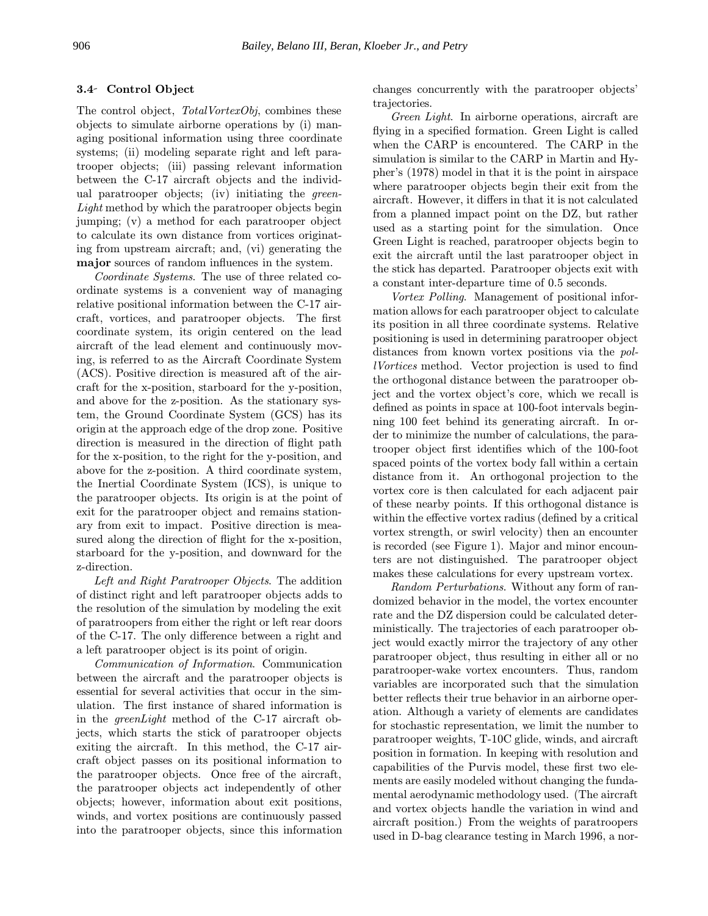### 3.4 Control Object

The control object, TotalVortexObj, combines these objects to simulate airborne operations by (i) managing positional information using three coordinate systems; (ii) modeling separate right and left paratrooper objects; (iii) passing relevant information between the C-17 aircraft objects and the individual paratrooper objects; (iv) initiating the green-Light method by which the paratrooper objects begin jumping; (v) a method for each paratrooper object to calculate its own distance from vortices originating from upstream aircraft; and, (vi) generating the major sources of random influences in the system.

Coordinate Systems. The use of three related coordinate systems is a convenient way of managing relative positional information between the C-17 aircraft, vortices, and paratrooper objects. The first coordinate system, its origin centered on the lead aircraft of the lead element and continuously moving, is referred to as the Aircraft Coordinate System (ACS). Positive direction is measured aft of the aircraft for the x-position, starboard for the y-position, and above for the z-position. As the stationary system, the Ground Coordinate System (GCS) has its origin at the approach edge of the drop zone. Positive direction is measured in the direction of flight path for the x-position, to the right for the y-position, and above for the z-position. A third coordinate system, the Inertial Coordinate System (ICS), is unique to the paratrooper objects. Its origin is at the point of exit for the paratrooper object and remains stationary from exit to impact. Positive direction is measured along the direction of flight for the x-position, starboard for the y-position, and downward for the z-direction.

Left and Right Paratrooper Objects. The addition of distinct right and left paratrooper objects adds to the resolution of the simulation by modeling the exit of paratroopers from either the right or left rear doors of the C-17. The only difference between a right and a left paratrooper object is its point of origin.

Communication of Information. Communication between the aircraft and the paratrooper objects is essential for several activities that occur in the simulation. The first instance of shared information is in the greenLight method of the C-17 aircraft objects, which starts the stick of paratrooper objects exiting the aircraft. In this method, the C-17 aircraft object passes on its positional information to the paratrooper objects. Once free of the aircraft, the paratrooper objects act independently of other objects; however, information about exit positions, winds, and vortex positions are continuously passed into the paratrooper objects, since this information changes concurrently with the paratrooper objects' trajectories.

Green Light. In airborne operations, aircraft are flying in a specified formation. Green Light is called when the CARP is encountered. The CARP in the simulation is similar to the CARP in Martin and Hypher's (1978) model in that it is the point in airspace where paratrooper objects begin their exit from the aircraft. However, it differs in that it is not calculated from a planned impact point on the DZ, but rather used as a starting point for the simulation. Once Green Light is reached, paratrooper objects begin to exit the aircraft until the last paratrooper object in the stick has departed. Paratrooper objects exit with a constant inter-departure time of 0.5 seconds.

Vortex Polling. Management of positional information allowsfor each paratrooper object to calculate its position in all three coordinate systems. Relative positioning is used in determining paratrooper object distances from known vortex positions via the pollVortices method. Vector projection is used to find the orthogonal distance between the paratrooper object and the vortex object's core, which we recall is defined as points in space at 100-foot intervals beginning 100 feet behind its generating aircraft. In order to minimize the number of calculations, the paratrooper object first identifies which of the 100-foot spaced points of the vortex body fall within a certain distance from it. An orthogonal projection to the vortex core is then calculated for each adjacent pair of these nearby points. If this orthogonal distance is within the effective vortex radius (defined by a critical vortex strength, or swirl velocity) then an encounter is recorded (see Figure 1). Major and minor encounters are not distinguished. The paratrooper object makes these calculations for every upstream vortex.

Random Perturbations. Without any form of randomized behavior in the model, the vortex encounter rate and the DZ dispersion could be calculated deterministically. The trajectories of each paratrooper object would exactly mirror the trajectory of any other paratrooper object, thus resulting in either all or no paratrooper-wake vortex encounters. Thus, random variables are incorporated such that the simulation better reflects their true behavior in an airborne operation. Although a variety of elements are candidates for stochastic representation, we limit the number to paratrooper weights, T-10C glide, winds, and aircraft position in formation. In keeping with resolution and capabilities of the Purvis model, these first two elements are easily modeled without changing the fundamental aerodynamic methodology used. (The aircraft and vortex objects handle the variation in wind and aircraft position.) From the weights of paratroopers used in D-bag clearance testing in March 1996, a nor-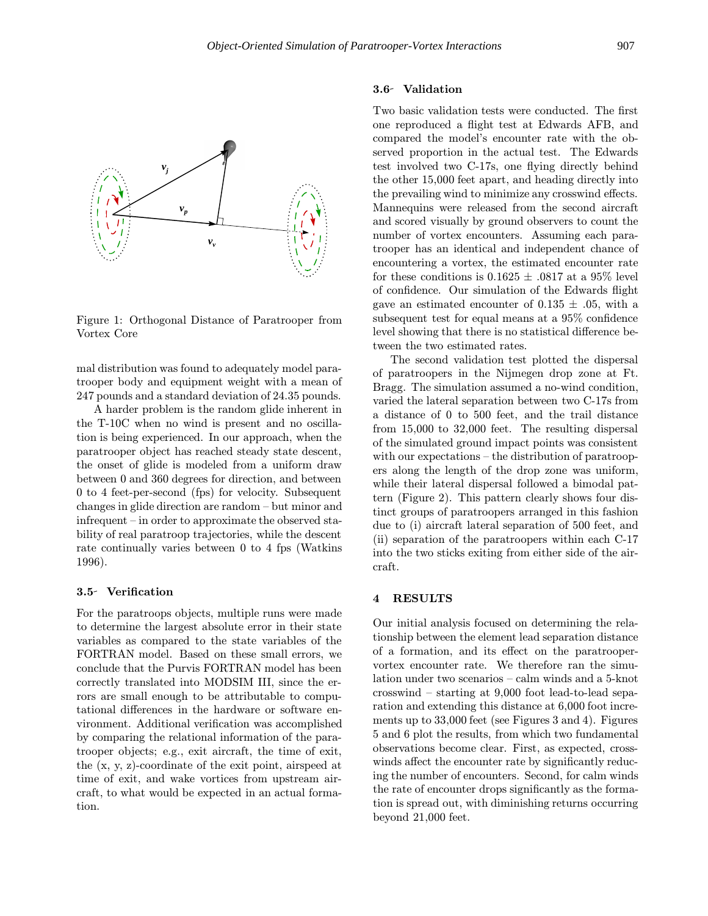

Figure 1: Orthogonal Distance of Paratrooper from Vortex Core

mal distribution was found to adequately model paratrooper body and equipment weight with a mean of 247 pounds and a standard deviation of 24.35 pounds.

A harder problem is the random glide inherent in the T-10C when no wind is present and no oscillation is being experienced. In our approach, when the paratrooper object has reached steady state descent, the onset of glide is modeled from a uniform draw between 0 and 360 degrees for direction, and between 0 to 4 feet-per-second (fps) for velocity. Subsequent changes in glide direction are random – but minor and infrequent – in order to approximate the observed stability of real paratroop trajectories, while the descent rate continually varies between 0 to 4 fps (Watkins 1996).

## 3.5 Verification

For the paratroops objects, multiple runs were made to determine the largest absolute error in their state variables as compared to the state variables of the FORTRAN model. Based on these small errors, we conclude that the Purvis FORTRAN model has been correctly translated into MODSIM III, since the errors are small enough to be attributable to computational differences in the hardware or software environment. Additional verification was accomplished by comparing the relational information of the paratrooper objects; e.g., exit aircraft, the time of exit, the (x, y, z)-coordinate of the exit point, airspeed at time of exit, and wake vortices from upstream aircraft, to what would be expected in an actual formation.

## 3.6 Validation

Two basic validation tests were conducted. The first one reproduced a flight test at Edwards AFB, and compared the model's encounter rate with the observed proportion in the actual test. The Edwards test involved two C-17s, one flying directly behind the other 15,000 feet apart, and heading directly into the prevailing wind to minimize any crosswind effects. Mannequins were released from the second aircraft and scored visually by ground observers to count the number of vortex encounters. Assuming each paratrooper has an identical and independent chance of encountering a vortex, the estimated encounter rate for these conditions is 0.1625  $\pm$  .0817 at a 95% level of confidence. Our simulation of the Edwards flight gave an estimated encounter of  $0.135 \pm .05$ , with a subsequent test for equal means at a 95% confidence level showing that there is no statistical difference between the two estimated rates.

The second validation test plotted the dispersal of paratroopers in the Nijmegen drop zone at Ft. Bragg. The simulation assumed a no-wind condition, varied the lateral separation between two C-17s from a distance of 0 to 500 feet, and the trail distance from 15,000 to 32,000 feet. The resulting dispersal of the simulated ground impact points was consistent with our expectations – the distribution of paratroopers along the length of the drop zone was uniform, while their lateral dispersal followed a bimodal pattern (Figure 2). This pattern clearly shows four distinct groups of paratroopers arranged in this fashion due to (i) aircraft lateral separation of 500 feet, and (ii) separation of the paratroopers within each C-17 into the two sticks exiting from either side of the aircraft.

### 4 RESULTS

Our initial analysis focused on determining the relationship between the element lead separation distance of a formation, and its effect on the paratroopervortex encounter rate. We therefore ran the simulation under two scenarios – calm winds and a 5-knot crosswind – starting at 9,000 foot lead-to-lead separation and extending this distance at 6,000 foot increments up to 33,000 feet (see Figures 3 and 4). Figures 5 and 6 plot the results, from which two fundamental observations become clear. First, as expected, crosswinds affect the encounter rate by significantly reducing the number of encounters. Second, for calm winds the rate of encounter drops significantly as the formation is spread out, with diminishing returns occurring beyond 21,000 feet.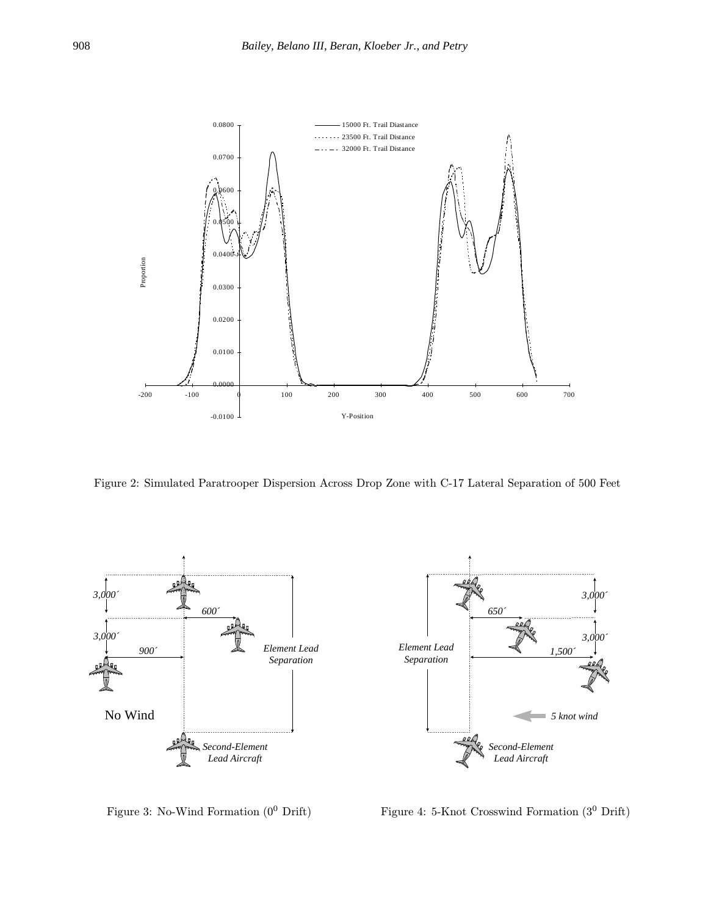

Figure 2: Simulated Paratrooper Dispersion Across Drop Zone with C-17 Lateral Separation of 500 Feet



Figure 3: No-Wind Formation  $(0^0 \text{ Drift})$ 

Figure 4: 5-Knot Crosswind Formation (3<sup>0</sup> Drift)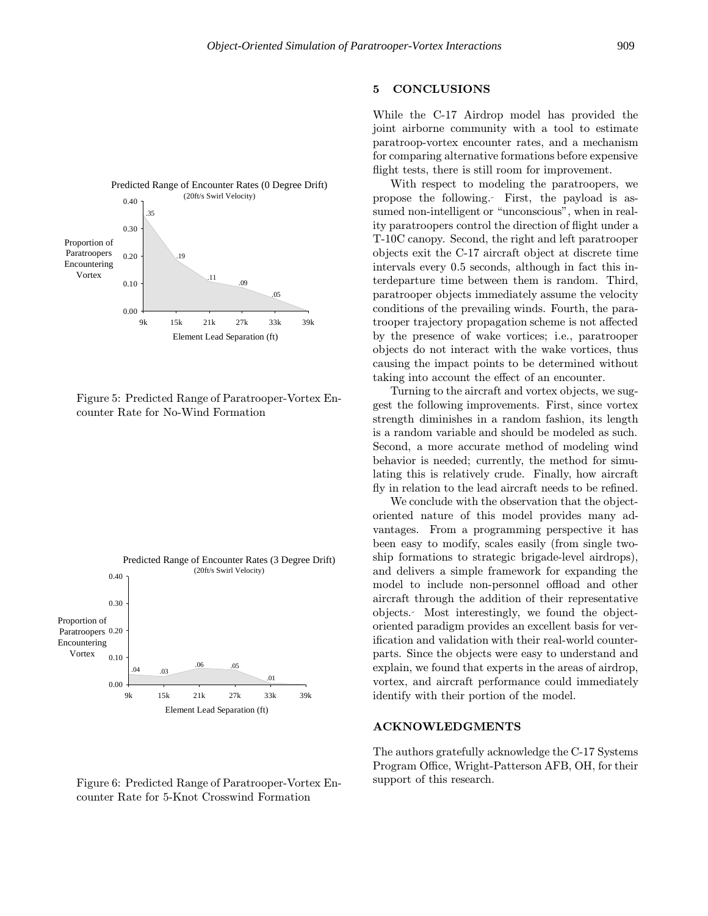

Figure 5: Predicted Range of Paratrooper-Vortex Encounter Rate for No-Wind Formation



Figure 6: Predicted Range of Paratrooper-Vortex Encounter Rate for 5-Knot Crosswind Formation

## 5 CONCLUSIONS

While the C-17 Airdrop model has provided the joint airborne community with a tool to estimate paratroop-vortex encounter rates, and a mechanism for comparing alternative formations before expensive flight tests, there is still room for improvement.

With respect to modeling the paratroopers, we propose the following. First, the payload is assumed non-intelligent or "unconscious", when in reality paratroopers control the direction of flight under a T-10C canopy. Second, the right and left paratrooper objects exit the C-17 aircraft object at discrete time intervals every 0.5 seconds, although in fact this interdeparture time between them is random. Third, paratrooper objects immediately assume the velocity conditions of the prevailing winds. Fourth, the paratrooper trajectory propagation scheme is not affected by the presence of wake vortices; i.e., paratrooper objects do not interact with the wake vortices, thus causing the impact points to be determined without taking into account the effect of an encounter.

Turning to the aircraft and vortex objects, we suggest the following improvements. First, since vortex strength diminishes in a random fashion, its length is a random variable and should be modeled as such. Second, a more accurate method of modeling wind behavior is needed; currently, the method for simulating this is relatively crude. Finally, how aircraft fly in relation to the lead aircraft needs to be refined.

We conclude with the observation that the objectoriented nature of this model provides many advantages. From a programming perspective it has been easy to modify, scales easily (from single twoship formations to strategic brigade-level airdrops), and delivers a simple framework for expanding the model to include non-personnel offload and other aircraft through the addition of their representative objects. Most interestingly, we found the objectoriented paradigm provides an excellent basis for verification and validation with their real-world counterparts. Since the objects were easy to understand and explain, we found that experts in the areas of airdrop, vortex, and aircraft performance could immediately identify with their portion of the model.

#### ACKNOWLEDGMENTS

The authors gratefully acknowledge the C-17 Systems Program Office, Wright-Patterson AFB, OH, for their support of this research.